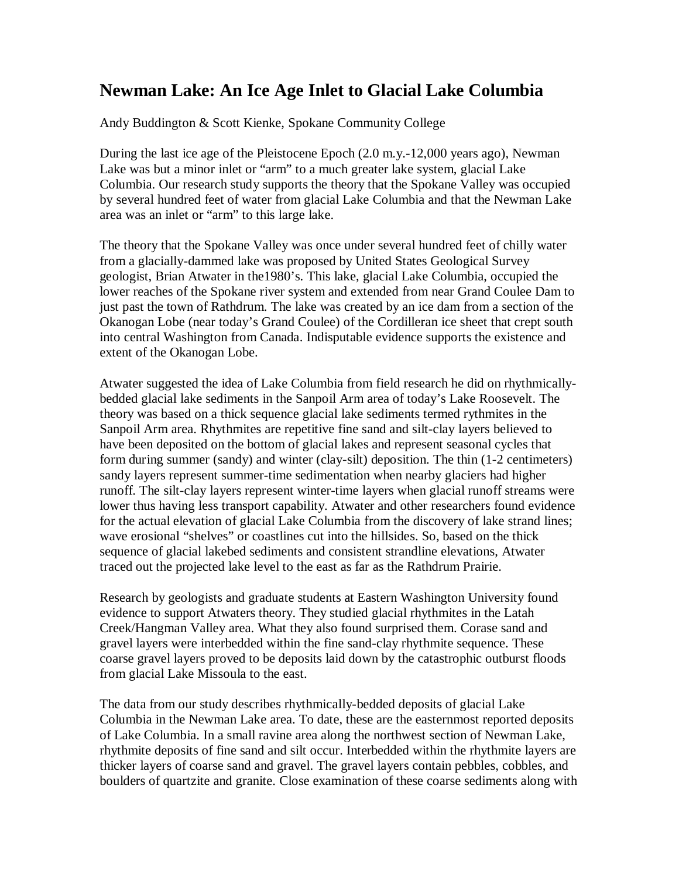## **Newman Lake: An Ice Age Inlet to Glacial Lake Columbia**

Andy Buddington & Scott Kienke, Spokane Community College

During the last ice age of the Pleistocene Epoch (2.0 m.y.-12,000 years ago), Newman Lake was but a minor inlet or "arm" to a much greater lake system, glacial Lake Columbia. Our research study supports the theory that the Spokane Valley was occupied by several hundred feet of water from glacial Lake Columbia and that the Newman Lake area was an inlet or "arm" to this large lake.

The theory that the Spokane Valley was once under several hundred feet of chilly water from a glacially-dammed lake was proposed by United States Geological Survey geologist, Brian Atwater in the1980's. This lake, glacial Lake Columbia, occupied the lower reaches of the Spokane river system and extended from near Grand Coulee Dam to just past the town of Rathdrum. The lake was created by an ice dam from a section of the Okanogan Lobe (near today's Grand Coulee) of the Cordilleran ice sheet that crept south into central Washington from Canada. Indisputable evidence supports the existence and extent of the Okanogan Lobe.

Atwater suggested the idea of Lake Columbia from field research he did on rhythmicallybedded glacial lake sediments in the Sanpoil Arm area of today's Lake Roosevelt. The theory was based on a thick sequence glacial lake sediments termed rythmites in the Sanpoil Arm area. Rhythmites are repetitive fine sand and silt-clay layers believed to have been deposited on the bottom of glacial lakes and represent seasonal cycles that form during summer (sandy) and winter (clay-silt) deposition. The thin (1-2 centimeters) sandy layers represent summer-time sedimentation when nearby glaciers had higher runoff. The silt-clay layers represent winter-time layers when glacial runoff streams were lower thus having less transport capability. Atwater and other researchers found evidence for the actual elevation of glacial Lake Columbia from the discovery of lake strand lines; wave erosional "shelves" or coastlines cut into the hillsides. So, based on the thick sequence of glacial lakebed sediments and consistent strandline elevations, Atwater traced out the projected lake level to the east as far as the Rathdrum Prairie.

Research by geologists and graduate students at Eastern Washington University found evidence to support Atwaters theory. They studied glacial rhythmites in the Latah Creek/Hangman Valley area. What they also found surprised them. Corase sand and gravel layers were interbedded within the fine sand-clay rhythmite sequence. These coarse gravel layers proved to be deposits laid down by the catastrophic outburst floods from glacial Lake Missoula to the east.

The data from our study describes rhythmically-bedded deposits of glacial Lake Columbia in the Newman Lake area. To date, these are the easternmost reported deposits of Lake Columbia. In a small ravine area along the northwest section of Newman Lake, rhythmite deposits of fine sand and silt occur. Interbedded within the rhythmite layers are thicker layers of coarse sand and gravel. The gravel layers contain pebbles, cobbles, and boulders of quartzite and granite. Close examination of these coarse sediments along with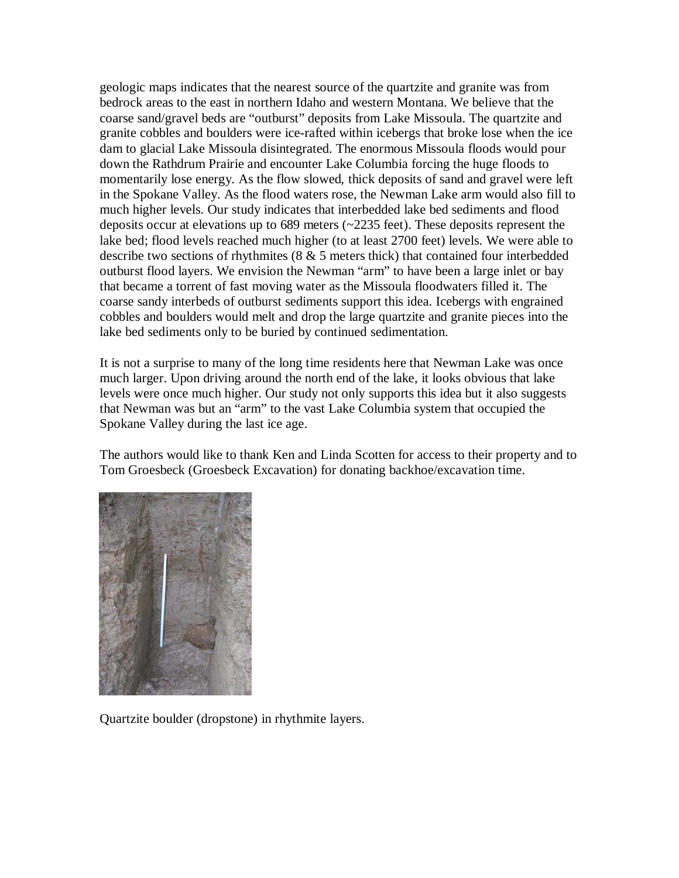geologic maps indicates that the nearest source of the quartzite and granite was from bedrock areas to the east in northern Idaho and western Montana. We believe that the coarse sand/gravel beds are "outburst" deposits from Lake Missoula. The quartzite and granite cobbles and boulders were ice-rafted within icebergs that broke lose when the ice dam to glacial Lake Missoula disintegrated. The enormous Missoula floods would pour down the Rathdrum Prairie and encounter Lake Columbia forcing the huge floods to momentarily lose energy. As the flow slowed, thick deposits of sand and gravel were left in the Spokane Valley. As the flood waters rose, the Newman Lake arm would also fill to much higher levels. Our study indicates that interbedded lake bed sediments and flood deposits occur at elevations up to 689 meters (~2235 feet). These deposits represent the lake bed; flood levels reached much higher (to at least 2700 feet) levels. We were able to describe two sections of rhythmites (8 & 5 meters thick) that contained four interbedded outburst flood layers. We envision the Newman "arm" to have been a large inlet or bay that became a torrent of fast moving water as the Missoula floodwaters filled it. The coarse sandy interbeds of outburst sediments support this idea. Icebergs with engrained cobbles and boulders would melt and drop the large quartzite and granite pieces into the lake bed sediments only to be buried by continued sedimentation.

It is not a surprise to many of the long time residents here that Newman Lake was once much larger. Upon driving around the north end of the lake, it looks obvious that lake levels were once much higher. Our study not only supports this idea but it also suggests that Newman was but an "arm" to the vast Lake Columbia system that occupied the Spokane Valley during the last ice age.

The authors would like to thank Ken and Linda Scotten for access to their property and to Tom Groesbeck (Groesbeck Excavation) for donating backhoe/excavation time.



Quartzite boulder (dropstone) in rhythmite layers.